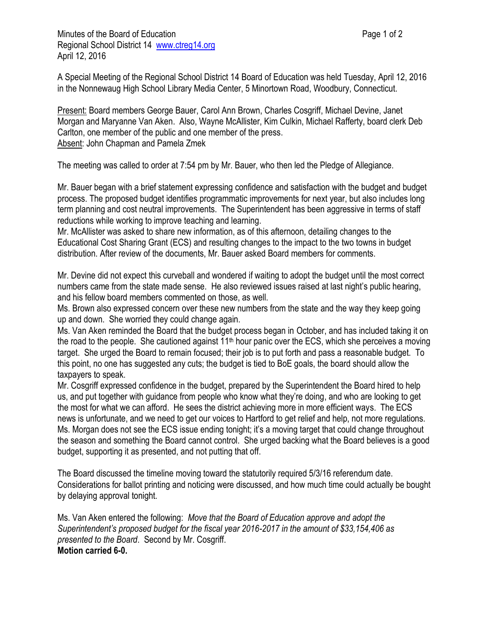Minutes of the Board of Education **Page 1 of 2** and 2 Regional School District 14 [www.ctreg14.org](http://www.ctreg14.org/) April 12, 2016

A Special Meeting of the Regional School District 14 Board of Education was held Tuesday, April 12, 2016 in the Nonnewaug High School Library Media Center, 5 Minortown Road, Woodbury, Connecticut.

Present: Board members George Bauer, Carol Ann Brown, Charles Cosgriff, Michael Devine, Janet Morgan and Maryanne Van Aken. Also, Wayne McAllister, Kim Culkin, Michael Rafferty, board clerk Deb Carlton, one member of the public and one member of the press. Absent: John Chapman and Pamela Zmek

The meeting was called to order at 7:54 pm by Mr. Bauer, who then led the Pledge of Allegiance.

Mr. Bauer began with a brief statement expressing confidence and satisfaction with the budget and budget process. The proposed budget identifies programmatic improvements for next year, but also includes long term planning and cost neutral improvements. The Superintendent has been aggressive in terms of staff reductions while working to improve teaching and learning.

Mr. McAllister was asked to share new information, as of this afternoon, detailing changes to the Educational Cost Sharing Grant (ECS) and resulting changes to the impact to the two towns in budget distribution. After review of the documents, Mr. Bauer asked Board members for comments.

Mr. Devine did not expect this curveball and wondered if waiting to adopt the budget until the most correct numbers came from the state made sense. He also reviewed issues raised at last night's public hearing, and his fellow board members commented on those, as well.

Ms. Brown also expressed concern over these new numbers from the state and the way they keep going up and down. She worried they could change again.

Ms. Van Aken reminded the Board that the budget process began in October, and has included taking it on the road to the people. She cautioned against  $11<sup>th</sup>$  hour panic over the ECS, which she perceives a moving target. She urged the Board to remain focused; their job is to put forth and pass a reasonable budget. To this point, no one has suggested any cuts; the budget is tied to BoE goals, the board should allow the taxpayers to speak.

Mr. Cosgriff expressed confidence in the budget, prepared by the Superintendent the Board hired to help us, and put together with guidance from people who know what they're doing, and who are looking to get the most for what we can afford. He sees the district achieving more in more efficient ways. The ECS news is unfortunate, and we need to get our voices to Hartford to get relief and help, not more regulations. Ms. Morgan does not see the ECS issue ending tonight; it's a moving target that could change throughout the season and something the Board cannot control. She urged backing what the Board believes is a good budget, supporting it as presented, and not putting that off.

The Board discussed the timeline moving toward the statutorily required 5/3/16 referendum date. Considerations for ballot printing and noticing were discussed, and how much time could actually be bought by delaying approval tonight.

Ms. Van Aken entered the following: *Move that the Board of Education approve and adopt the Superintendent's proposed budget for the fiscal year 2016-2017 in the amount of \$33,154,406 as presented to the Board*. Second by Mr. Cosgriff. **Motion carried 6-0.**